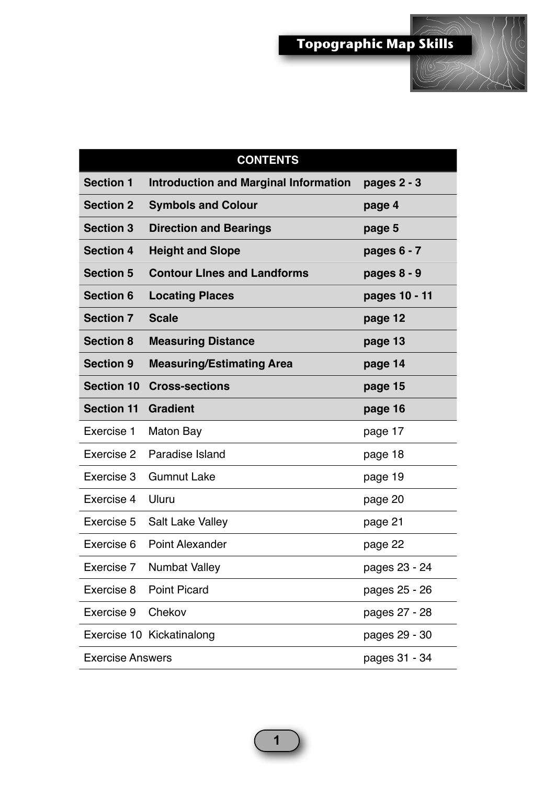

| <b>CONTENTS</b>         |                                              |               |  |
|-------------------------|----------------------------------------------|---------------|--|
| <b>Section 1</b>        | <b>Introduction and Marginal Information</b> | pages $2 - 3$ |  |
| <b>Section 2</b>        | <b>Symbols and Colour</b>                    | page 4        |  |
| <b>Section 3</b>        | <b>Direction and Bearings</b>                | page 5        |  |
| <b>Section 4</b>        | <b>Height and Slope</b>                      | pages $6 - 7$ |  |
| <b>Section 5</b>        | <b>Contour Lines and Landforms</b>           | pages $8 - 9$ |  |
| <b>Section 6</b>        | <b>Locating Places</b>                       | pages 10 - 11 |  |
| <b>Section 7</b>        | <b>Scale</b>                                 | page 12       |  |
| <b>Section 8</b>        | <b>Measuring Distance</b>                    | page 13       |  |
| <b>Section 9</b>        | <b>Measuring/Estimating Area</b>             | page 14       |  |
| <b>Section 10</b>       | <b>Cross-sections</b>                        | page 15       |  |
| <b>Section 11</b>       | <b>Gradient</b>                              | page 16       |  |
| Exercise 1              | Maton Bay                                    | page 17       |  |
| Exercise 2              | Paradise Island                              | page 18       |  |
| Exercise 3              | <b>Gumnut Lake</b>                           | page 19       |  |
| Exercise 4              | Uluru                                        | page 20       |  |
| Exercise 5              | <b>Salt Lake Valley</b>                      | page 21       |  |
| Exercise 6              | <b>Point Alexander</b>                       | page 22       |  |
| Exercise 7              | <b>Numbat Valley</b>                         | pages 23 - 24 |  |
| Exercise 8              | <b>Point Picard</b>                          | pages 25 - 26 |  |
| Exercise 9              | Chekov                                       | pages 27 - 28 |  |
|                         | Exercise 10 Kickatinalong                    | pages 29 - 30 |  |
| <b>Exercise Answers</b> |                                              | pages 31 - 34 |  |

**1**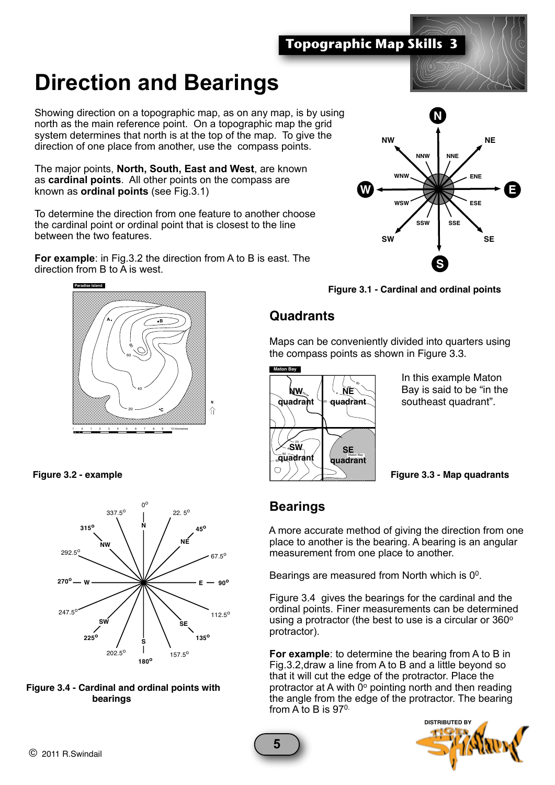**Topographic Map Skills 3**

## **Direction and Bearings**

Showing direction on a topographic map, as on any map, is by using north as the main reference point. On a topographic map the grid system determines that north is at the top of the map. To give the direction of one place from another, use the compass points.

The major points, **North, South, East and West**, are known as **cardinal points**. All other points on the compass are known as **ordinal points** (see Fig.3.1)

To determine the direction from one feature to another choose the cardinal point or ordinal point that is closest to the line between the two features.

**For example**: in Fig.3.2 the direction from A to B is east. The direction from B to A is west.

**N**



**Figure 3.2 - example**









## **Quadrants**

Maps can be conveniently divided into quarters using the compass points as shown in Figure 3.3.



In this example Maton Bay is said to be "in the southeast quadrant".

**Figure 3.3 - Map quadrants**

## **Bearings**

 A more accurate method of giving the direction from one place to another is the bearing. A bearing is an angular measurement from one place to another.

 Figure 3.4 gives the bearings for the cardinal and the ordinal points. Finer measurements can be determined using a protractor (the best to use is a circular or  $360^{\circ}$ ) protractor).

 **For example**: to determine the bearing from A to B in Fig.3.2,draw a line from A to B and a little beyond so that it will cut the edge of the protractor. Place the protractor at A with  $\overline{0^{\circ}}$  pointing north and then reading the angle from the edge of the protractor. The bearing from A to B is  $97^\circ$ .